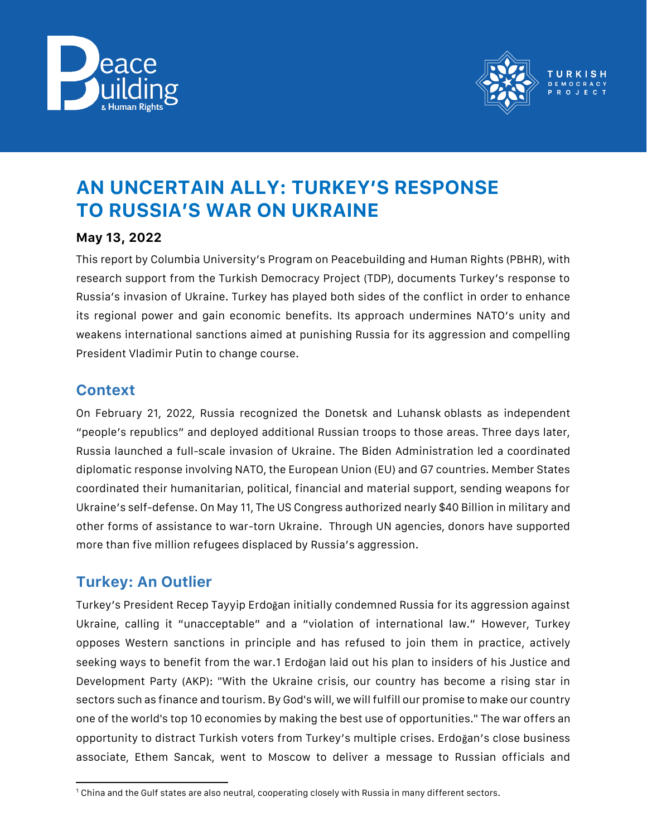



# **AN UNCERTAIN ALLY: TURKEY'S RESPONSE TO RUSSIA'S WAR ON UKRAINE**

#### **May 13, 2022**

This report by Columbia University's Program on Peacebuilding and Human Rights (PBHR), with research support from the Turkish Democracy Project (TDP), documents Turkey's response to Russia's invasion of Ukraine. Turkey has played both sides of the conflict in order to enhance its regional power and gain economic benefits. Its approach undermines NATO's unity and weakens international sanctions aimed at punishing Russia for its aggression and compelling President Vladimir Putin to change course.

#### **Context**

On February 21, 2022, Russia recognized the Donetsk and Luhansk oblasts as independent "people's republics" and deployed additional Russian troops to those areas. Three days later, Russia launched a full-scale invasion of Ukraine. The Biden Administration led a coordinated diplomatic response involving NATO, the European Union (EU) and G7 countries. Member States coordinated their humanitarian, political, financial and material support, sending weapons for Ukraine's self-defense. On May 11, The US Congress authorized nearly \$40 Billion in military and other forms of assistance to war-torn Ukraine. Through UN agencies, donors have supported more than five million refugees displaced by Russia's aggression.

## **Turkey: An Outlier**

Turkey's President Recep Tayyip Erdoğan initially condemned Russia for its aggression against Ukraine, calling it "unacceptable" and a "violation of international law." However, Turkey opposes Western sanctions in principle and has refused to join them in practice, actively seeking ways to benefit from the war.1 Erdoğan laid out his plan to insiders of his Justice and Development Party (AKP): "With the Ukraine crisis, our country has become a rising star in sectors such as finance and tourism. By God's will, we will fulfill our promise to make our country one of the world's top 10 economies by making the best use of opportunities." The war offers an opportunity to distract Turkish voters from Turkey's multiple crises. Erdoğan's close business associate, Ethem Sancak, went to Moscow to deliver a message to Russian officials and

l <sup>1</sup> China and the Gulf states are also neutral, cooperating closely with Russia in many different sectors.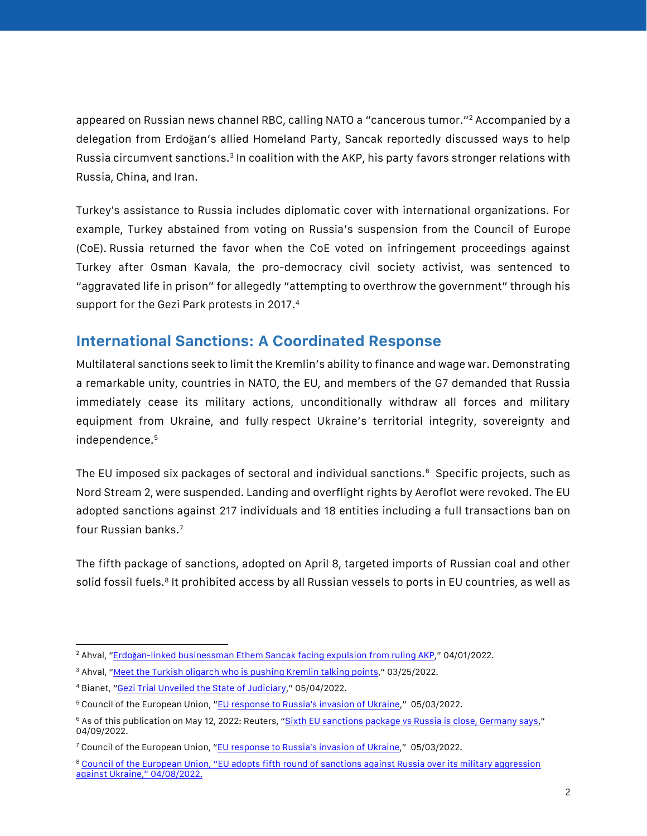appeared on Russian news channel RBC, calling NATO a "cancerous tumor." <sup>2</sup> Accompanied by a delegation from Erdoğan's allied Homeland Party, Sancak reportedly discussed ways to help Russia circumvent sanctions.<sup>3</sup> In coalition with the AKP, his party favors stronger relations with Russia, China, and Iran.

Turkey's assistance to Russia includes diplomatic cover with international organizations. For example, Turkey abstained from voting on Russia's suspension from the Council of Europe (CoE). Russia returned the favor when the CoE voted on infringement proceedings against Turkey after Osman Kavala, the pro-democracy civil society activist, was sentenced to "aggravated life in prison" for allegedly "attempting to overthrow the government" through his support for the Gezi Park protests in 2017.<sup>4</sup>

#### **International Sanctions: A Coordinated Response**

Multilateral sanctions seek to limit the Kremlin's ability to finance and wage war. Demonstrating a remarkable unity, countries in NATO, the EU, and members of the G7 demanded that Russia immediately cease its military actions, unconditionally withdraw all forces and military equipment from Ukraine, and fully respect Ukraine's territorial integrity, sovereignty and independence.<sup>5</sup>

The EU imposed six packages of sectoral and individual sanctions.<sup>6</sup> Specific projects, such as Nord Stream 2, were suspended. Landing and overflight rights by Aeroflot were revoked. The EU adopted sanctions against 217 individuals and 18 entities including a full transactions ban on four Russian banks.<sup>7</sup>

The fifth package of sanctions, adopted on April 8, targeted imports of Russian coal and other solid fossil fuels.<sup>8</sup> It prohibited access by all Russian vessels to ports in EU countries, as well as

 $\overline{\phantom{a}}$ <sup>2</sup> Ahval, "Erdoğ[an-linked businessman Ethem Sancak facing expulsion from ruling AKP](https://ahvalnews.com/akp/erdogan-linked-businessman-ethem-sancak-facing-expulsion-ruling-akp)," 04/01/2022.

<sup>3</sup> Ahval, "[Meet the Turkish oligarch who is pushing Kremlin talking points](https://ahvalnews.com/russia-turkey/meet-turkish-oligarch-who-pushing-kremlin-talking-points)," 03/25/2022.

<sup>4</sup> Bianet, "[Gezi Trial Unveiled the State of Judiciary](https://bianet.org/english/human-rights/261357-osman-kavala-gezi-trial-unveiled-the-state-of-the-judiciary)," 05/04/2022.

<sup>5</sup> Council of the European Union, "[EU response to Russia's invasion of Ukraine](https://www.consilium.europa.eu/en/policies/eu-response-ukraine-invasion/)," 05/03/2022.

<sup>&</sup>lt;sup>6</sup> As of this publication on May 12, 2022: Reuters, "[Sixth EU sanctions package vs Russia is close, Germany says](https://www.reuters.com/world/europe/sixth-eu-sanctions-package-vs-russia-is-close-germany-says-2022-05-09/)," 04/09/2022.

<sup>7</sup> Council of the European Union, "[EU response to Russia's invasion of Ukraine](https://www.consilium.europa.eu/en/policies/eu-response-ukraine-invasion/)," 05/03/2022.

<sup>&</sup>lt;sup>8</sup> Council of the European Union, "EU adopts fifth round of sanctions against Russia over its military aggression [against Ukraine](https://www.consilium.europa.eu/en/press/press-releases/2022/04/08/eu-adopts-fifth-round-of-sanctions-against-russia-over-its-military-aggression-against-ukraine/)," 04/08/2022.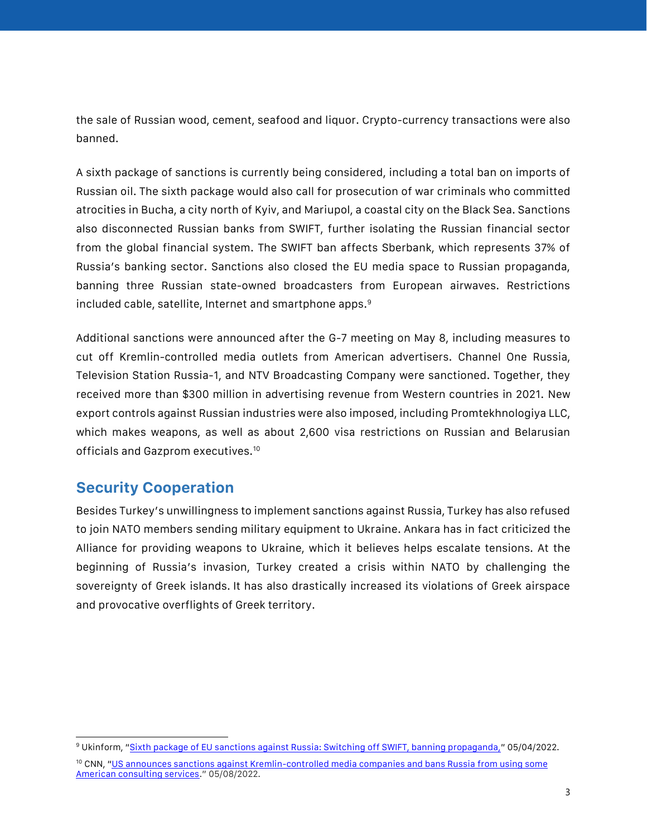the sale of Russian wood, cement, seafood and liquor. Crypto-currency transactions were also banned.

A sixth package of sanctions is currently being considered, including a total ban on imports of Russian oil. The sixth package would also call for prosecution of war criminals who committed atrocities in Bucha, a city north of Kyiv, and Mariupol, a coastal city on the Black Sea. Sanctions also disconnected Russian banks from SWIFT, further isolating the Russian financial sector from the global financial system. The SWIFT ban affects Sberbank, which represents 37% of Russia's banking sector. Sanctions also closed the EU media space to Russian propaganda, banning three Russian state-owned broadcasters from European airwaves. Restrictions included cable, satellite, Internet and smartphone apps.<sup>9</sup>

Additional sanctions were announced after the G-7 meeting on May 8, including measures to cut off Kremlin-controlled media outlets from American advertisers. Channel One Russia, Television Station Russia-1, and NTV Broadcasting Company were sanctioned. Together, they received more than \$300 million in advertising revenue from Western countries in 2021. New export controls against Russian industries were also imposed, including Promtekhnologiya LLC, which makes weapons, as well as about 2,600 visa restrictions on Russian and Belarusian officials and Gazprom executives.<sup>10</sup>

## **Security Cooperation**

Besides Turkey's unwillingness to implement sanctions against Russia, Turkey has also refused to join NATO members sending military equipment to Ukraine. Ankara has in fact criticized the Alliance for providing weapons to Ukraine, which it believes helps escalate tensions. At the beginning of Russia's invasion, Turkey created a crisis within NATO by challenging the sovereignty of Greek islands. It has also drastically increased its violations of Greek airspace and provocative overflights of Greek territory.

 $\overline{\phantom{a}}$ <sup>9</sup> Ukinform, "[Sixth package of EU sanctions against Russia: Switching off SWIFT, banning propaganda,](https://www.ukrinform.net/rubric-polytics/3474759-sixth-package-of-eu-sanctions-against-russia-switching-off-swift-banning-propaganda.html)" 05/04/2022.

<sup>&</sup>lt;sup>10</sup> CNN, "US announces sanctions against Kremlin-controlled media companies and bans Russia from using some [American consulting services](https://edition.cnn.com/2022/05/08/politics/us-russia-sanctions-media-companies-consulting-services/index.html)." 05/08/2022.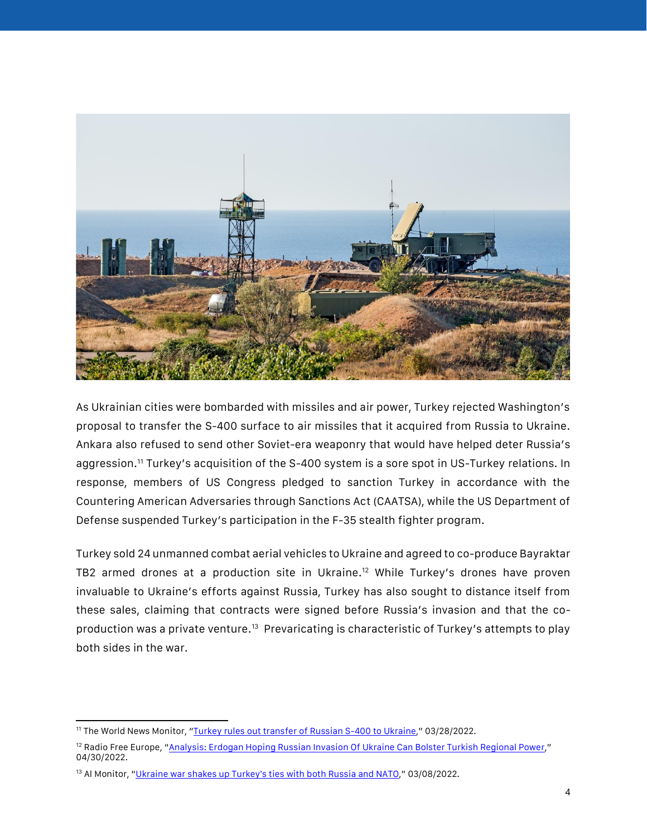

As Ukrainian cities were bombarded with missiles and air power, Turkey rejected Washington's proposal to transfer the S-400 surface to air missiles that it acquired from Russia to Ukraine. Ankara also refused to send other Soviet-era weaponry that would have helped deter Russia's aggression.<sup>11</sup> Turkey's acquisition of the S-400 system is a sore spot in US-Turkey relations. In response, members of US Congress pledged to sanction Turkey in accordance with the Countering American Adversaries through Sanctions Act (CAATSA), while the US Department of Defense suspended Turkey's participation in the F-35 stealth fighter program.

Turkey sold 24 unmanned combat aerial vehicles to Ukraine and agreed to co-produce Bayraktar TB2 armed drones at a production site in Ukraine.<sup>12</sup> While Turkey's drones have proven invaluable to Ukraine's efforts against Russia, Turkey has also sought to distance itself from these sales, claiming that contracts were signed before Russia's invasion and that the coproduction was a private venture.<sup>13</sup> Prevaricating is characteristic of Turkey's attempts to play both sides in the war.

 $\overline{a}$ <sup>11</sup> The World News Monitor, "<u>[Turkey rules out transfer of Russian S-400 to Ukraine](https://world-news-monitor.com/hotspots/turkey/2022/03/28/turkey-rules-out-transfer-of-russian-s-400-to-ukraine/)</u>," 03/28/2022.

<sup>&</sup>lt;sup>12</sup> Radio Free Europe, "[Analysis: Erdogan Hoping Russian Invasion Of Ukraine Can Bolster Turkish Regional Power](https://www.rferl.org/a/ukraine-erdogan-russia-regional-power/31828327.html)," 04/30/2022.

<sup>&</sup>lt;sup>13</sup> Al Monitor, "[Ukraine war shakes up Turkey's ties with both Russia and NATO](https://www.al-monitor.com/originals/2022/03/ukraine-war-shakes-turkeys-ties-both-russia-and-nato#ixzz7T0R3CyBv)," 03/08/2022.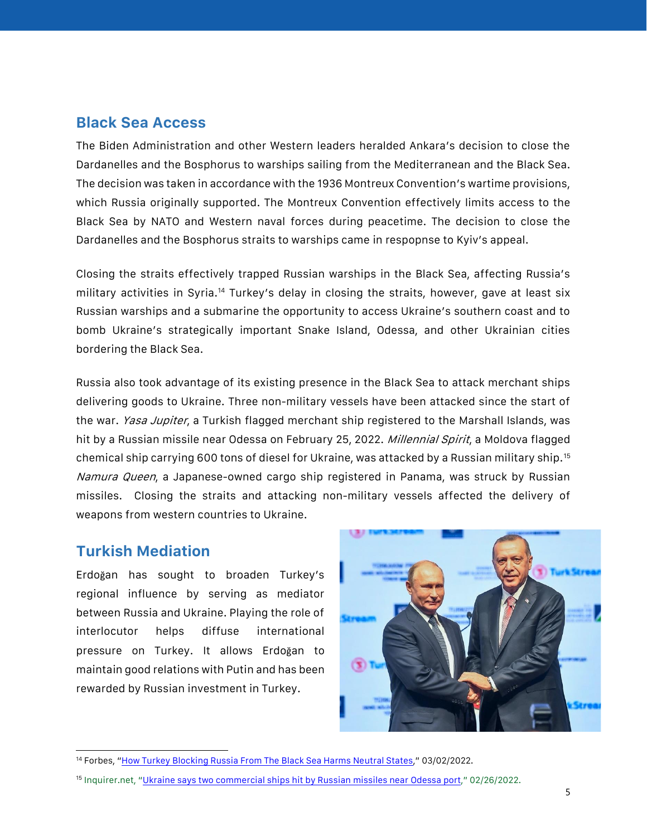#### **Black Sea Access**

The Biden Administration and other Western leaders heralded Ankara's decision to close the Dardanelles and the Bosphorus to warships sailing from the Mediterranean and the Black Sea. The decision was taken in accordance with the 1936 Montreux Convention's wartime provisions, which Russia originally supported. The Montreux Convention effectively limits access to the Black Sea by NATO and Western naval forces during peacetime. The decision to close the Dardanelles and the Bosphorus straits to warships came in respopnse to Kyiv's appeal.

Closing the straits effectively trapped Russian warships in the Black Sea, affecting Russia's military activities in Syria.<sup>14</sup> Turkey's delay in closing the straits, however, gave at least six Russian warships and a submarine the opportunity to access Ukraine's southern coast and to bomb Ukraine's strategically important Snake Island, Odessa, and other Ukrainian cities bordering the Black Sea.

Russia also took advantage of its existing presence in the Black Sea to attack merchant ships delivering goods to Ukraine. Three non-military vessels have been attacked since the start of the war. *Yasa Jupiter*, a Turkish flagged merchant ship registered to the Marshall Islands, was hit by a Russian missile near Odessa on February 25, 2022. Millennial Spirit, a Moldova flagged chemical ship carrying 600 tons of diesel for Ukraine, was attacked by a Russian military ship.<sup>15</sup> Namura Queen, a Japanese-owned cargo ship registered in Panama, was struck by Russian missiles. Closing the straits and attacking non-military vessels affected the delivery of weapons from western countries to Ukraine.

#### **Turkish Mediation**

 $\overline{\phantom{a}}$ 

Erdoğan has sought to broaden Turkey's regional influence by serving as mediator between Russia and Ukraine. Playing the role of interlocutor helps diffuse international pressure on Turkey. It allows Erdoğan to maintain good relations with Putin and has been rewarded by Russian investment in Turkey.



<sup>14</sup> Forbes, "[How Turkey Blocking Russia From The Black Sea Harms Neutral States](https://www.forbes.com/sites/jillgoldenziel/2022/03/02/how-turkeys-blocking-russia-from-the-black-sea-harms-neutral-states/?sh=6e1c927baa6d)," 03/02/2022.

<sup>15</sup> Inquirer.net, "[Ukraine says two commercial ships hit by Russian missiles near Odessa port](https://newsinfo.inquirer.net/1560228/ukraine-says-two-commercial-ships-hit-by-russian-missiles-near-odessa-port#ixzz7T0Sd4H2E)," 02/26/2022.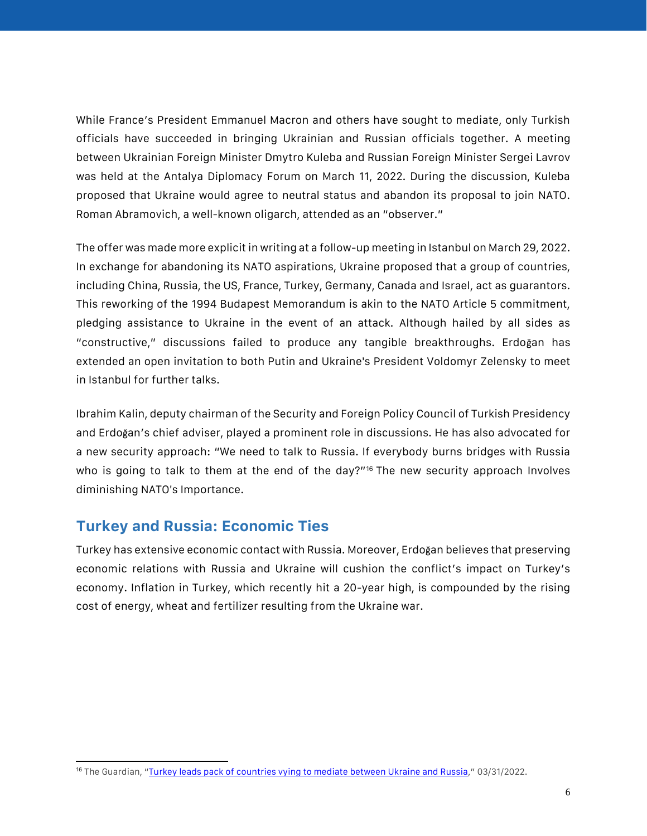While France's President Emmanuel Macron and others have sought to mediate, only Turkish officials have succeeded in bringing Ukrainian and Russian officials together. A meeting between Ukrainian Foreign Minister Dmytro Kuleba and Russian Foreign Minister Sergei Lavrov was held at the Antalya Diplomacy Forum on March 11, 2022. During the discussion, Kuleba proposed that Ukraine would agree to neutral status and abandon its proposal to join NATO. Roman Abramovich, a well-known oligarch, attended as an "observer."

The offer was made more explicit in writing at a follow-up meeting in Istanbul on March 29, 2022. In exchange for abandoning its NATO aspirations, Ukraine proposed that a group of countries, including China, Russia, the US, France, Turkey, Germany, Canada and Israel, act as guarantors. This reworking of the 1994 Budapest Memorandum is akin to the NATO Article 5 commitment, pledging assistance to Ukraine in the event of an attack. Although hailed by all sides as "constructive," discussions failed to produce any tangible breakthroughs. Erdoğan has extended an open invitation to both Putin and Ukraine's President Voldomyr Zelensky to meet in Istanbul for further talks.

Ibrahim Kalin, deputy chairman of the Security and Foreign Policy Council of Turkish Presidency and Erdoğan's chief adviser, played a prominent role in discussions. He has also advocated for a new security approach: "We need to talk to Russia. If everybody burns bridges with Russia who is going to talk to them at the end of the day?"<sup>16</sup> The new security approach Involves diminishing NATO's Importance.

#### **Turkey and Russia: Economic Ties**

Turkey has extensive economic contact with Russia. Moreover, Erdoğan believes that preserving economic relations with Russia and Ukraine will cushion the conflict's impact on Turkey's economy. Inflation in Turkey, which recently hit a 20-year high, is compounded by the rising cost of energy, wheat and fertilizer resulting from the Ukraine war.

 $\overline{\phantom{a}}$ <sup>16</sup> The Guardian, "[Turkey leads pack of countries vying to mediate between Ukraine and Russia](https://www.theguardian.com/world/2022/mar/31/turkey-leads-pack-of-countries-vying-to-mediate-between-ukraine-and-russia)," 03/31/2022.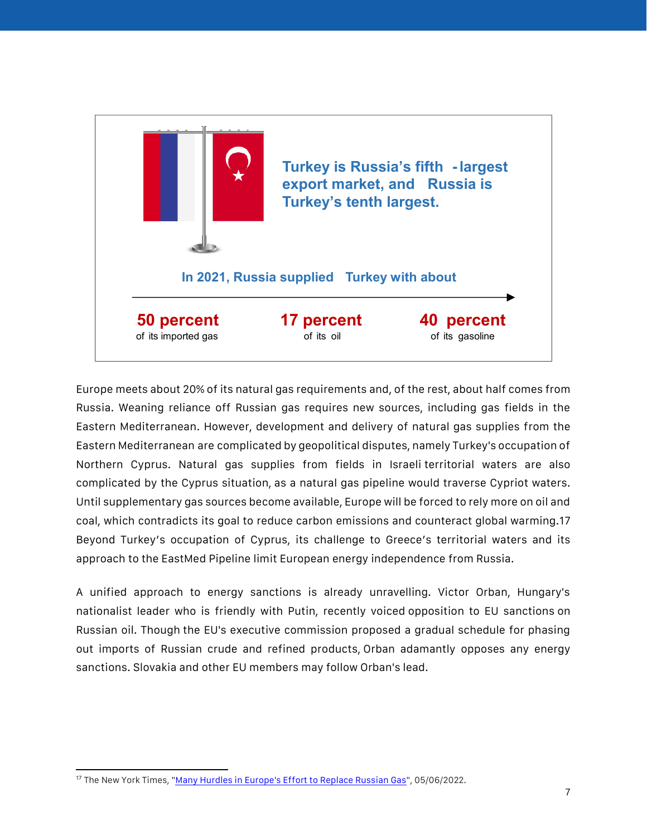

Europe meets about 20% of its natural gas requirements and, of the rest, about half comes from Russia. Weaning reliance off Russian gas requires new sources, including gas fields in the Eastern Mediterranean. However, development and delivery of natural gas supplies from the Eastern Mediterranean are complicated by geopolitical disputes, namely Turkey's occupation of Northern Cyprus. Natural gas supplies from fields in Israeli territorial waters are also complicated by the Cyprus situation, as a natural gas pipeline would traverse Cypriot waters. Until supplementary gas sources become available, Europe will be forced to rely more on oil and coal, which contradicts its goal to reduce carbon emissions and counteract global warming.17 Beyond Turkey's occupation of Cyprus, its challenge to Greece's territorial waters and its approach to the EastMed Pipeline limit European energy independence from Russia.

A unified approach to energy sanctions is already unravelling. Victor Orban, Hungary's nationalist leader who is friendly with Putin, recently voiced opposition to EU sanctions on Russian oil. Though the EU's executive commission proposed a gradual schedule for phasing out imports of Russian crude and refined products, Orban adamantly opposes any energy sanctions. Slovakia and other EU members may follow Orban's lead.

<sup>&</sup>lt;sup>17</sup> The New York Times, "Many Hurdles in Europe's Effort to Replace Russian Gas", 05/06/2022.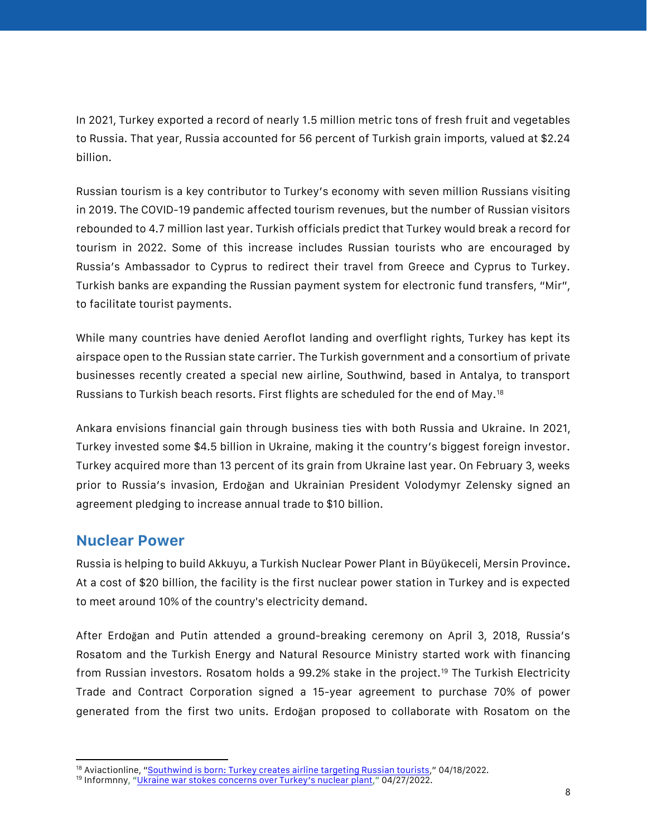In 2021, Turkey exported a record of nearly 1.5 million metric tons of fresh fruit and vegetables to Russia. That year, Russia accounted for 56 percent of Turkish grain imports, valued at \$2.24 billion.

Russian tourism is a key contributor to Turkey's economy with seven million Russians visiting in 2019. The COVID-19 pandemic affected tourism revenues, but the number of Russian visitors rebounded to 4.7 million last year. Turkish officials predict that Turkey would break a record for tourism in 2022. Some of this increase includes Russian tourists who are encouraged by Russia's Ambassador to Cyprus to redirect their travel from Greece and Cyprus to Turkey. Turkish banks are expanding the Russian payment system for electronic fund transfers, "Mir", to facilitate tourist payments.

While many countries have denied Aeroflot landing and overflight rights, Turkey has kept its airspace open to the Russian state carrier. The Turkish government and a consortium of private businesses recently created a special new airline, Southwind, based in Antalya, to transport Russians to Turkish beach resorts. First flights are scheduled for the end of May.<sup>18</sup>

Ankara envisions financial gain through business ties with both Russia and Ukraine. In 2021, Turkey invested some \$4.5 billion in Ukraine, making it the country's biggest foreign investor. Turkey acquired more than 13 percent of its grain from Ukraine last year. On February 3, weeks prior to Russia's invasion, Erdoğan and Ukrainian President Volodymyr Zelensky signed an agreement pledging to increase annual trade to \$10 billion.

#### **Nuclear Power**

Russia is helping to build Akkuyu, a Turkish Nuclear Power Plant in Büyükeceli, Mersin Province**.** At a cost of \$20 billion, the facility is the first nuclear power station in Turkey and is expected to meet around 10% of the country's electricity demand.

After Erdoğan and Putin attended a ground-breaking ceremony on April 3, 2018, Russia's Rosatom and the Turkish Energy and Natural Resource Ministry started work with financing from Russian investors. Rosatom holds a 99.2% stake in the project.<sup>19</sup> The Turkish Electricity Trade and Contract Corporation signed a 15-year agreement to purchase 70% of power generated from the first two units. Erdoğan proposed to collaborate with Rosatom on the

 $\overline{a}$ <sup>18</sup> Aviactionline, "[Southwind is born: Turkey creates airline targeting Russian tourists](https://www.aviacionline.com/2022/04/southwind-is-born-turkey-creates-airline-targeting-russian-tourists/)," 04/18/2022.

<sup>&</sup>lt;sup>19</sup> Informnny, ["Ukraine war stokes concerns over Turkey's nuclear plant,](https://www.informnny.com/news/tech-news/ukraine-war-stokes-concerns-over-turkeys-nuclear-plant/)" 04/27/2022.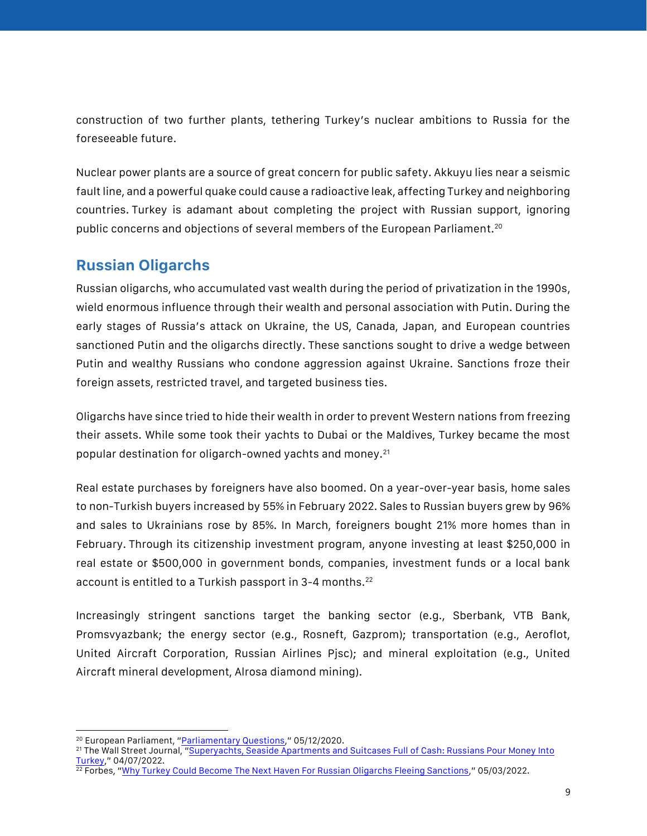construction of two further plants, tethering Turkey's nuclear ambitions to Russia for the foreseeable future.

Nuclear power plants are a source of great concern for public safety. Akkuyu lies near a seismic fault line, and a powerful quake could cause a radioactive leak, affecting Turkey and neighboring countries. Turkey is adamant about completing the project with Russian support, ignoring public concerns and objections of several members of the European Parliament.<sup>20</sup>

## **Russian Oligarchs**

Russian oligarchs, who accumulated vast wealth during the period of privatization in the 1990s, wield enormous influence through their wealth and personal association with Putin. During the early stages of Russia's attack on Ukraine, the US, Canada, Japan, and European countries sanctioned Putin and the oligarchs directly. These sanctions sought to drive a wedge between Putin and wealthy Russians who condone aggression against Ukraine. Sanctions froze their foreign assets, restricted travel, and targeted business ties.

Oligarchs have since tried to hide their wealth in order to prevent Western nations from freezing their assets. While some took their yachts to Dubai or the Maldives, Turkey became the most popular destination for oligarch-owned yachts and money.<sup>21</sup>

Real estate purchases by foreigners have also boomed. On a year-over-year basis, home sales to non-Turkish buyers increased by 55% in February 2022. Sales to Russian buyers grew by 96% and sales to Ukrainians rose by 85%. In March, foreigners bought 21% more homes than in February. Through its citizenship investment program, anyone investing at least \$250,000 in real estate or \$500,000 in government bonds, companies, investment funds or a local bank account is entitled to a Turkish passport in 3-4 months.<sup>22</sup>

Increasingly stringent sanctions target the banking sector (e.g., Sberbank, VTB Bank, Promsvyazbank; the energy sector (e.g., Rosneft, Gazprom); transportation (e.g., Aeroflot, United Aircraft Corporation, Russian Airlines Pjsc); and mineral exploitation (e.g., United Aircraft mineral development, Alrosa diamond mining).

 $\overline{\phantom{a}}$ <sup>20</sup> European Parliament, "[Parliamentary Questions](https://www.europarl.europa.eu/doceo/document/E-9-2020-002906_EN.html)," 05/12/2020.

<sup>&</sup>lt;sup>21</sup> The Wall Street Journal, "Superyachts, Seaside Apartments and Suitcases Full of Cash: Russians Pour Money Into [Turkey](https://www.wsj.com/articles/superyachts-seaside-apartments-and-suitcases-full-of-cash-russians-pour-money-into-turkey-11649323803)," 04/07/2022.

 $\frac{22}{22}$  Forbes, "[Why Turkey Could Become The Next Haven For Russian Oligarchs Fleeing Sanctions](https://www.forbes.com/sites/giacomotognini/2022/05/03/why-turkey-could-become-the-next-haven-for-russian-oligarchs-fleeing-sanctions/?sh=168ccd716785)," 05/03/2022.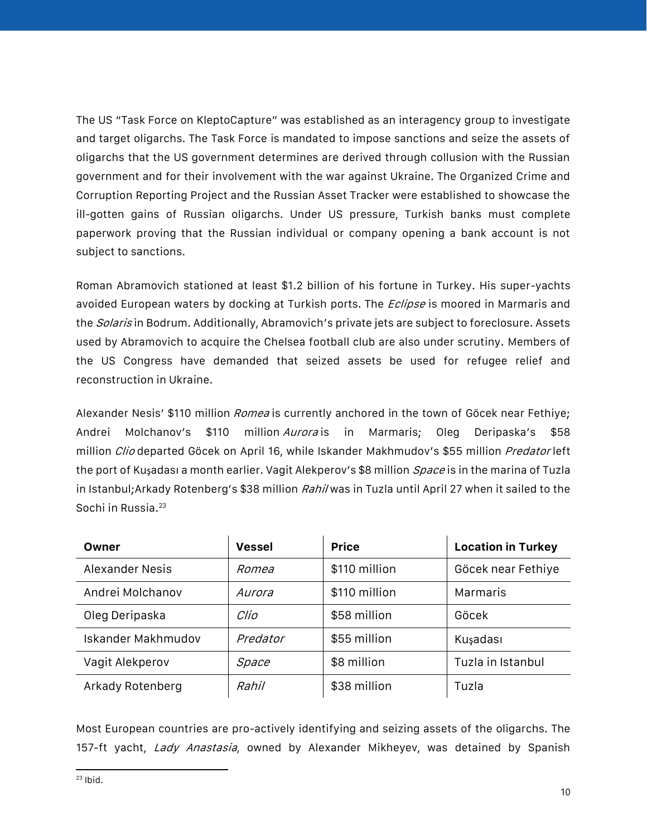The US "Task Force on KleptoCapture" was established as an interagency group to investigate and target oligarchs. The Task Force is mandated to impose sanctions and seize the assets of oligarchs that the US government determines are derived through collusion with the Russian government and for their involvement with the war against Ukraine. The Organized Crime and Corruption Reporting Project and the Russian Asset Tracker were established to showcase the ill-gotten gains of Russian oligarchs. Under US pressure, Turkish banks must complete paperwork proving that the Russian individual or company opening a bank account is not subject to sanctions.

Roman Abramovich stationed at least \$1.2 billion of his fortune in Turkey. His super-yachts avoided European waters by docking at Turkish ports. The *Eclipse* is moored in Marmaris and the Solaris in Bodrum. Additionally, Abramovich's private jets are subject to foreclosure. Assets used by Abramovich to acquire the Chelsea football club are also under scrutiny. Members of the US Congress have demanded that seized assets be used for refugee relief and reconstruction in Ukraine.

Alexander Nesis' \$110 million *Romea* is currently anchored in the town of Göcek near Fethiye; Andrei Molchanov's \$110 million*Aurora*-is in Marmaris: Oleg Deripaska's \$58 million Clio departed Göcek on April 16, while Iskander Makhmudov's \$55 million Predator left the port of Kusadası a month earlier. Vagit Alekperov's \$8 million Space is in the marina of Tuzla in Istanbul;Arkady Rotenberg's \$38 million Rahil was in Tuzla until April 27 when it sailed to the Sochi in Russia.<sup>23</sup>

| Owner              | <b>Vessel</b> | <b>Price</b>  | <b>Location in Turkey</b> |
|--------------------|---------------|---------------|---------------------------|
| Alexander Nesis    | Romea         | \$110 million | Göcek near Fethiye        |
| Andrei Molchanov   | Aurora        | \$110 million | Marmaris                  |
| Oleg Deripaska     | Clio          | \$58 million  | Göcek                     |
| Iskander Makhmudov | Predator      | \$55 million  | Kuşadası                  |
| Vagit Alekperov    | Space         | \$8 million   | Tuzla in Istanbul         |
| Arkady Rotenberg   | Rahil         | \$38 million  | Tuzla                     |

Most European countries are pro-actively identifying and seizing assets of the oligarchs. The 157-ft yacht, Lady Anastasia, owned by Alexander Mikheyev, was detained by Spanish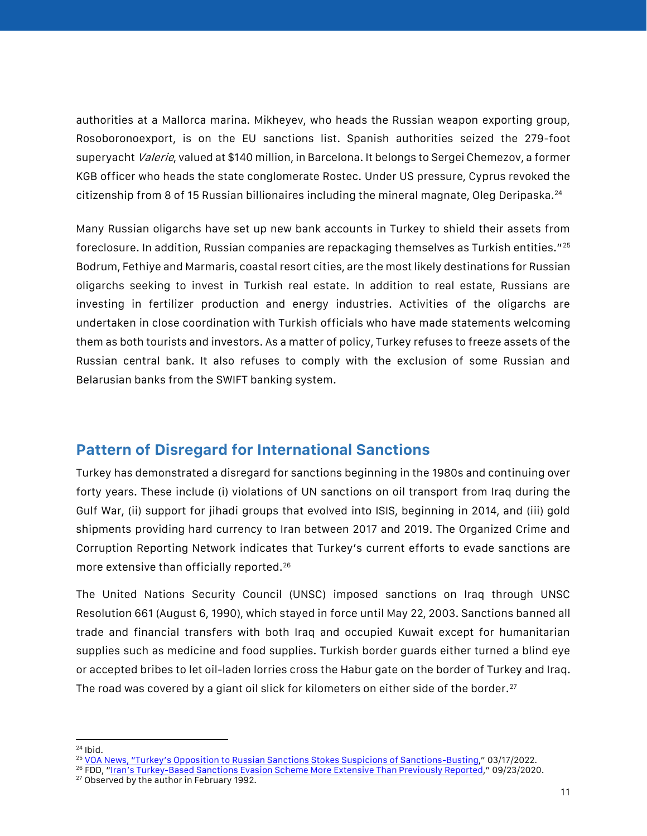authorities at a Mallorca marina. Mikheyev, who heads the Russian weapon exporting group, Rosoboronoexport, is on the EU sanctions list. Spanish authorities seized the 279-foot superyacht *Valerie*, valued at \$140 million, in Barcelona. It belongs to Sergei Chemezov, a former KGB officer who heads the state conglomerate Rostec. Under US pressure, Cyprus revoked the citizenship from 8 of 15 Russian billionaires including the mineral magnate, Oleg Deripaska.<sup>24</sup>

Many Russian oligarchs have set up new bank accounts in Turkey to shield their assets from foreclosure. In addition, Russian companies are repackaging themselves as Turkish entities."<sup>25</sup> Bodrum, Fethiye and Marmaris, coastal resort cities, are the most likely destinations for Russian oligarchs seeking to invest in Turkish real estate. In addition to real estate, Russians are investing in fertilizer production and energy industries. Activities of the oligarchs are undertaken in close coordination with Turkish officials who have made statements welcoming them as both tourists and investors. As a matter of policy, Turkey refuses to freeze assets of the Russian central bank. It also refuses to comply with the exclusion of some Russian and Belarusian banks from the SWIFT banking system.

## **Pattern of Disregard for International Sanctions**

Turkey has demonstrated a disregard for sanctions beginning in the 1980s and continuing over forty years. These include (i) violations of UN sanctions on oil transport from Iraq during the Gulf War, (ii) support for jihadi groups that evolved into ISIS, beginning in 2014, and (iii) gold shipments providing hard currency to Iran between 2017 and 2019. The Organized Crime and Corruption Reporting Network indicates that Turkey's current efforts to evade sanctions are more extensive than officially reported.<sup>26</sup>

The United Nations Security Council (UNSC) imposed sanctions on Iraq through UNSC Resolution 661 (August 6, 1990), which stayed in force until May 22, 2003. Sanctions banned all trade and financial transfers with both Iraq and occupied Kuwait except for humanitarian supplies such as medicine and food supplies. Turkish border guards either turned a blind eye or accepted bribes to let oil-laden lorries cross the Habur gate on the border of Turkey and Iraq. The road was covered by a giant oil slick for kilometers on either side of the border.<sup>27</sup>

<sup>27</sup> Observed by the author in February 1992.

 $\overline{a}$  $24$  Ibid.

<sup>25</sup> [VOA](https://www.voanews.com/a/turkey-s-opposition-to-russian-sanctions-stokes-suspicions-of-sanction-busting-/6490132.html) News, ["Turkey's Opposition to Russian Sanctions Stokes Suspicions of Sanctions](https://www.voanews.com/a/turkey-s-opposition-to-russian-sanctions-stokes-suspicions-of-sanction-busting-/6490132.html)-Busting," 03/17/2022.

<sup>26</sup> FDD, "Iran's Turk[ey-Based Sanctions Evasion Scheme More Extensive Than Previously Reported](https://www.fdd.org/analysis/2020/09/23/iran-turkey-sanctions-evasion-scheme/)," 09/23/2020.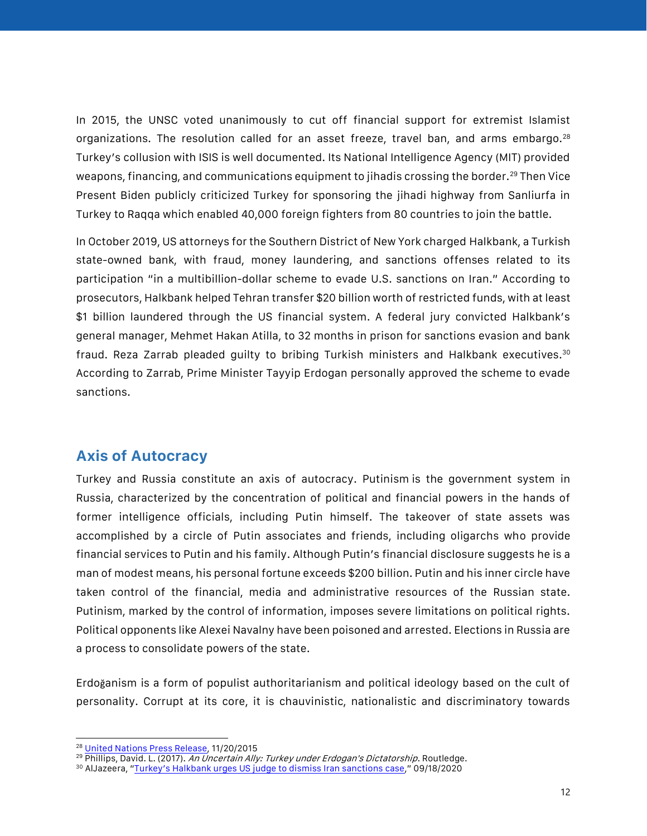In 2015, the UNSC voted unanimously to cut off financial support for extremist Islamist organizations. The resolution called for an asset freeze, travel ban, and arms embargo.<sup>28</sup> Turkey's collusion with ISIS is well documented. Its National Intelligence Agency (MIT) provided weapons, financing, and communications equipment to jihadis crossing the border.<sup>29</sup> Then Vice Present Biden publicly criticized Turkey for sponsoring the jihadi highway from Sanliurfa in Turkey to Raqqa which enabled 40,000 foreign fighters from 80 countries to join the battle.

In October 2019, US attorneys for the Southern District of New York charged Halkbank, a Turkish state-owned bank, with fraud, money laundering, and sanctions offenses related to its participation "in a multibillion-dollar scheme to evade U.S. sanctions on Iran." According to prosecutors, Halkbank helped Tehran transfer \$20 billion worth of restricted funds, with at least \$1 billion laundered through the US financial system. A federal jury convicted Halkbank's general manager, Mehmet Hakan Atilla, to 32 months in prison for sanctions evasion and bank fraud. Reza Zarrab pleaded guilty to bribing Turkish ministers and Halkbank executives.<sup>30</sup> According to Zarrab, Prime Minister Tayyip Erdogan personally approved the scheme to evade sanctions.

#### **Axis of Autocracy**

Turkey and Russia constitute an axis of autocracy. Putinism is the government system in Russia, characterized by the concentration of political and financial powers in the hands of former intelligence officials, including Putin himself. The takeover of state assets was accomplished by a circle of Putin associates and friends, including oligarchs who provide financial services to Putin and his family. Although Putin's financial disclosure suggests he is a man of modest means, his personal fortune exceeds \$200 billion. Putin and his inner circle have taken control of the financial, media and administrative resources of the Russian state. Putinism, marked by the control of information, imposes severe limitations on political rights. Political opponents like Alexei Navalny have been poisoned and arrested. Elections in Russia are a process to consolidate powers of the state.

Erdoğanism is a form of populist authoritarianism and political ideology based on the cult of personality. Corrupt at its core, it is chauvinistic, nationalistic and discriminatory towards

l <sup>28</sup> [United Nations Press Release,](https://www.un.org/press/en/2015/sc12132.doc.htm) 11/20/2015

<sup>&</sup>lt;sup>29</sup> Phillips, David. L. (2017). An Uncertain Ally: Turkey under Erdogan's Dictatorship. Routledge.

<sup>30</sup> AlJazeera, ["Turkey's Halkbank urges US judge to dismiss Iran sanctions case,](https://www.aljazeera.com/economy/2020/9/18/turkeys-halkbank-urges-us-judge-to-dismiss-iran-sanctions-case#:~:text=A%20US%20indictment%20accuses%20Halkbank%20of%20helping%20Iran,prosecution%20because%20of%20sovereign%20immunity%20%5BFile%3A%20Osman%20Orsal%2FReuters%5D)" 09/18/2020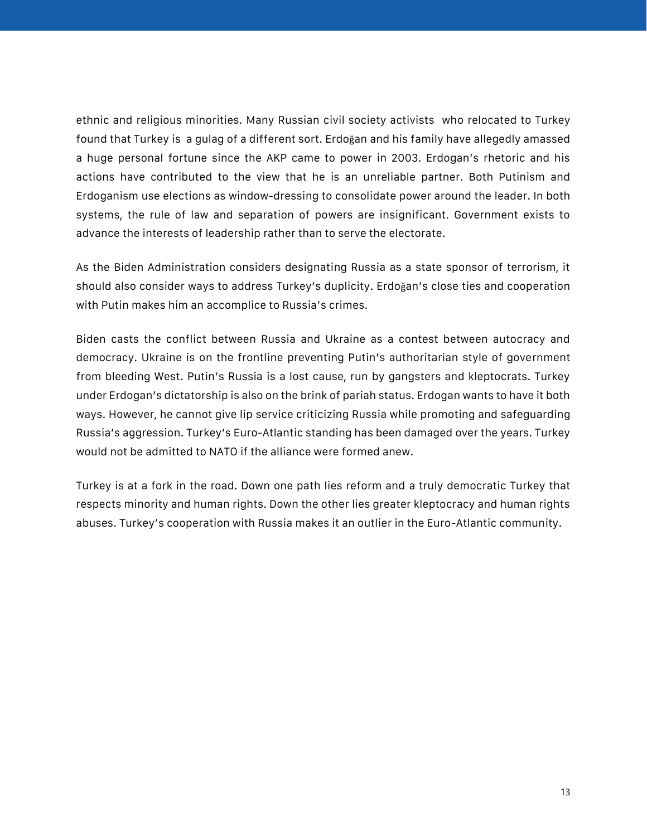ethnic and religious minorities. Many Russian civil society activists who relocated to Turkey found that Turkey is a gulag of a different sort. Erdoğan and his family have allegedly amassed a huge personal fortune since the AKP came to power in 2003. Erdogan's rhetoric and his actions have contributed to the view that he is an unreliable partner. Both Putinism and Erdoganism use elections as window-dressing to consolidate power around the leader. In both systems, the rule of law and separation of powers are insignificant. Government exists to advance the interests of leadership rather than to serve the electorate.

As the Biden Administration considers designating Russia as a state sponsor of terrorism, it should also consider ways to address Turkey's duplicity. Erdoğan's close ties and cooperation with Putin makes him an accomplice to Russia's crimes.

Biden casts the conflict between Russia and Ukraine as a contest between autocracy and democracy. Ukraine is on the frontline preventing Putin's authoritarian style of government from bleeding West. Putin's Russia is a lost cause, run by gangsters and kleptocrats. Turkey under Erdogan's dictatorship is also on the brink of pariah status. Erdogan wants to have it both ways. However, he cannot give lip service criticizing Russia while promoting and safeguarding Russia's aggression. Turkey's Euro-Atlantic standing has been damaged over the years. Turkey would not be admitted to NATO if the alliance were formed anew.

Turkey is at a fork in the road. Down one path lies reform and a truly democratic Turkey that respects minority and human rights. Down the other lies greater kleptocracy and human rights abuses. Turkey's cooperation with Russia makes it an outlier in the Euro-Atlantic community.